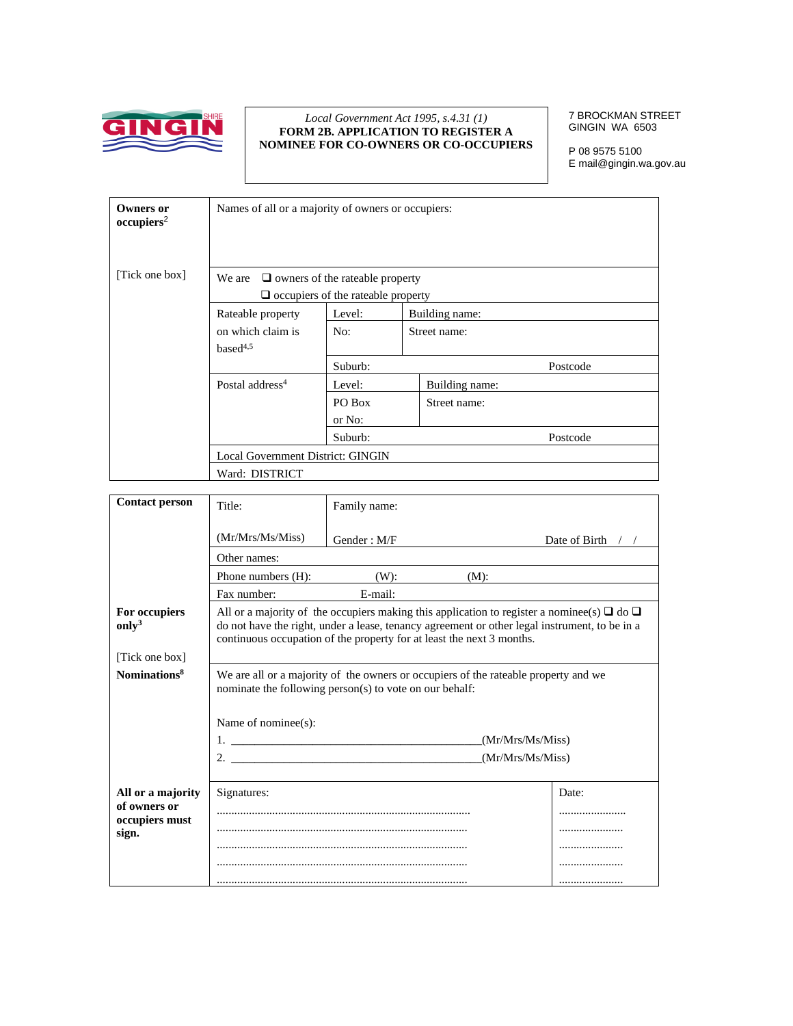

## *Local Government Act 1995, s.4.31 (1)*  **FORM 2B. APPLICATION TO REGISTER A NOMINEE FOR CO-OWNERS OR CO-OCCUPIERS**

7 BROCKMAN STREET GINGIN WA 6503

P 08 9575 5100 E mail@gingin.wa.gov.au

| Owners or<br>occupiers <sup>2</sup> | Names of all or a majority of owners or occupiers: |                     |                |          |
|-------------------------------------|----------------------------------------------------|---------------------|----------------|----------|
| [Tick one box]                      | We are $\Box$ owners of the rateable property      |                     |                |          |
|                                     | $\Box$ occupiers of the rateable property          |                     |                |          |
|                                     | Rateable property<br>Level:                        |                     | Building name: |          |
|                                     | on which claim is                                  | No:<br>Street name: |                |          |
|                                     | based <sup>4,5</sup>                               |                     |                |          |
|                                     |                                                    | Suburb:             |                | Postcode |
|                                     | Postal address <sup>4</sup>                        | Level:              | Building name: |          |
|                                     |                                                    | PO Box              | Street name:   |          |
|                                     |                                                    | or No:              |                |          |
|                                     |                                                    | Suburb:             |                | Postcode |
|                                     | Local Government District: GINGIN                  |                     |                |          |
|                                     | Ward: DISTRICT                                     |                     |                |          |

| <b>Contact person</b>              | Title:                                                                                                                                         | Family name:                                                                                                                                                                                                                                                                   |                             |  |
|------------------------------------|------------------------------------------------------------------------------------------------------------------------------------------------|--------------------------------------------------------------------------------------------------------------------------------------------------------------------------------------------------------------------------------------------------------------------------------|-----------------------------|--|
|                                    | (Mr/Mrs/Ms/Miss)                                                                                                                               | Gender: M/F                                                                                                                                                                                                                                                                    | Date of Birth $\frac{1}{2}$ |  |
|                                    | Other names:                                                                                                                                   |                                                                                                                                                                                                                                                                                |                             |  |
|                                    | Phone numbers (H):                                                                                                                             | $(M)$ :<br>$(W)$ :                                                                                                                                                                                                                                                             |                             |  |
|                                    | Fax number:                                                                                                                                    | E-mail:                                                                                                                                                                                                                                                                        |                             |  |
| For occupiers<br>only <sup>3</sup> |                                                                                                                                                | All or a majority of the occupiers making this application to register a nominee(s) $\Box$ do $\Box$<br>do not have the right, under a lease, tenancy agreement or other legal instrument, to be in a<br>continuous occupation of the property for at least the next 3 months. |                             |  |
| [Tick one box]                     |                                                                                                                                                |                                                                                                                                                                                                                                                                                |                             |  |
| Nominations <sup>8</sup>           | We are all or a majority of the owners or occupiers of the rateable property and we<br>nominate the following person(s) to vote on our behalf: |                                                                                                                                                                                                                                                                                |                             |  |
|                                    | Name of nominee(s):                                                                                                                            |                                                                                                                                                                                                                                                                                |                             |  |
|                                    | (Mr/Mrs/Ms/Miss)                                                                                                                               |                                                                                                                                                                                                                                                                                |                             |  |
|                                    | (Mr/Mrs/Ms/Miss)<br>2. $\blacksquare$                                                                                                          |                                                                                                                                                                                                                                                                                |                             |  |
|                                    |                                                                                                                                                |                                                                                                                                                                                                                                                                                |                             |  |
| All or a majority                  | Signatures:                                                                                                                                    |                                                                                                                                                                                                                                                                                | Date:                       |  |
| of owners or<br>occupiers must     |                                                                                                                                                |                                                                                                                                                                                                                                                                                |                             |  |
| sign.                              |                                                                                                                                                |                                                                                                                                                                                                                                                                                |                             |  |
|                                    |                                                                                                                                                |                                                                                                                                                                                                                                                                                |                             |  |
|                                    |                                                                                                                                                |                                                                                                                                                                                                                                                                                |                             |  |
|                                    |                                                                                                                                                |                                                                                                                                                                                                                                                                                |                             |  |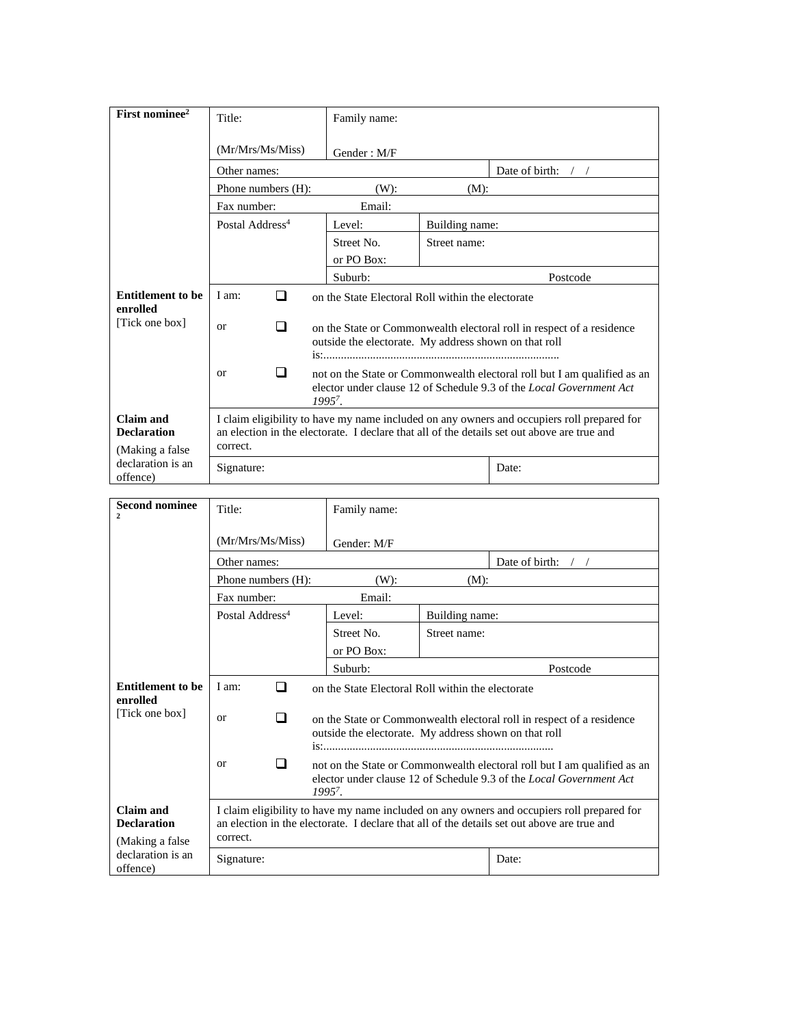| First nominee <sup>2</sup>                         | Title:                                                                                                                                                                                                | Family name:                                                                                                                                                         |                |                      |
|----------------------------------------------------|-------------------------------------------------------------------------------------------------------------------------------------------------------------------------------------------------------|----------------------------------------------------------------------------------------------------------------------------------------------------------------------|----------------|----------------------|
|                                                    | (Mr/Mrs/Ms/Miss)                                                                                                                                                                                      | Gender: M/F                                                                                                                                                          |                |                      |
|                                                    | Other names:                                                                                                                                                                                          |                                                                                                                                                                      |                | Date of birth: $/$ / |
|                                                    | Phone numbers (H):                                                                                                                                                                                    | $(W)$ :                                                                                                                                                              | $(M)$ :        |                      |
|                                                    | Fax number:                                                                                                                                                                                           | Email:                                                                                                                                                               |                |                      |
|                                                    | Postal Address <sup>4</sup>                                                                                                                                                                           | Level:                                                                                                                                                               | Building name: |                      |
|                                                    |                                                                                                                                                                                                       | Street No.                                                                                                                                                           | Street name:   |                      |
|                                                    |                                                                                                                                                                                                       | or PO Box:                                                                                                                                                           |                |                      |
|                                                    |                                                                                                                                                                                                       | Suburb:                                                                                                                                                              |                | Postcode             |
| <b>Entitlement to be</b>                           | I am:<br>$\Box$<br>on the State Electoral Roll within the electorate                                                                                                                                  |                                                                                                                                                                      |                |                      |
| enrolled<br>[Tick one box]                         | ❏<br>or<br>on the State or Commonwealth electoral roll in respect of a residence<br>outside the electorate. My address shown on that roll                                                             |                                                                                                                                                                      |                |                      |
|                                                    | <b>or</b>                                                                                                                                                                                             | not on the State or Commonwealth electoral roll but I am qualified as an<br>elector under clause 12 of Schedule 9.3 of the <i>Local Government Act</i><br>$1995^7$ . |                |                      |
| Claim and<br><b>Declaration</b><br>(Making a false | I claim eligibility to have my name included on any owners and occupiers roll prepared for<br>an election in the electorate. I declare that all of the details set out above are true and<br>correct. |                                                                                                                                                                      |                |                      |
| declaration is an<br>offence)                      | Signature:                                                                                                                                                                                            |                                                                                                                                                                      |                | Date:                |

| <b>Second nominee</b><br>2                       | Title:                                                                                                                                                                                                | Family name:                                                                                                                                                         |                |                |
|--------------------------------------------------|-------------------------------------------------------------------------------------------------------------------------------------------------------------------------------------------------------|----------------------------------------------------------------------------------------------------------------------------------------------------------------------|----------------|----------------|
|                                                  | (Mr/Mrs/Ms/Miss)                                                                                                                                                                                      | Gender: M/F                                                                                                                                                          |                |                |
|                                                  | Other names:                                                                                                                                                                                          |                                                                                                                                                                      |                | Date of birth: |
|                                                  | Phone numbers (H):                                                                                                                                                                                    | $(W)$ :                                                                                                                                                              | $(M)$ :        |                |
|                                                  | Fax number:                                                                                                                                                                                           | Email:                                                                                                                                                               |                |                |
|                                                  | Postal Address <sup>4</sup>                                                                                                                                                                           | Level:                                                                                                                                                               | Building name: |                |
|                                                  |                                                                                                                                                                                                       | Street No.                                                                                                                                                           | Street name:   |                |
|                                                  |                                                                                                                                                                                                       | or PO Box:                                                                                                                                                           |                |                |
|                                                  |                                                                                                                                                                                                       | Suburb:                                                                                                                                                              |                | Postcode       |
| <b>Entitlement to be</b>                         | I am:<br>□<br>on the State Electoral Roll within the electorate                                                                                                                                       |                                                                                                                                                                      |                |                |
| enrolled<br>[Tick one box]                       | □<br><sub>or</sub><br>on the State or Commonwealth electoral roll in respect of a residence<br>outside the electorate. My address shown on that roll                                                  |                                                                                                                                                                      |                |                |
|                                                  | $\alpha$<br>l 1                                                                                                                                                                                       | not on the State or Commonwealth electoral roll but I am qualified as an<br>elector under clause 12 of Schedule 9.3 of the <i>Local Government Act</i><br>$1995^7$ . |                |                |
| Claim and<br><b>Declaration</b>                  | I claim eligibility to have my name included on any owners and occupiers roll prepared for<br>an election in the electorate. I declare that all of the details set out above are true and<br>correct. |                                                                                                                                                                      |                |                |
| (Making a false<br>declaration is an<br>offence) | Signature:                                                                                                                                                                                            |                                                                                                                                                                      |                | Date:          |